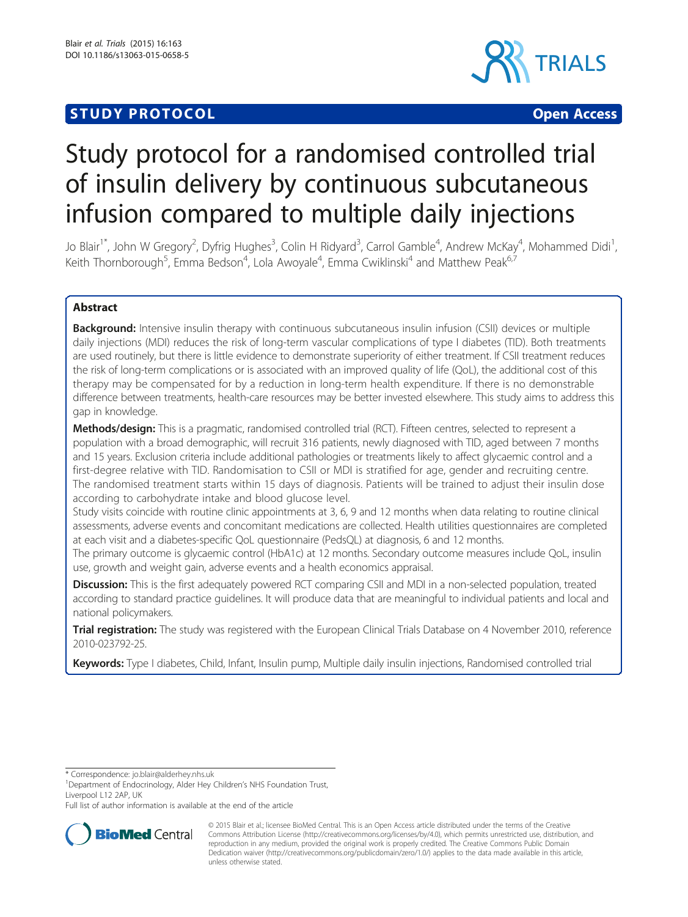# **STUDY PROTOCOL CONSUMING THE CONSUMING OPEN ACCESS**



# Study protocol for a randomised controlled trial of insulin delivery by continuous subcutaneous infusion compared to multiple daily injections

Jo Blair<sup>1\*</sup>, John W Gregory<sup>2</sup>, Dyfrig Hughes<sup>3</sup>, Colin H Ridyard<sup>3</sup>, Carrol Gamble<sup>4</sup>, Andrew McKay<sup>4</sup>, Mohammed Didi<sup>1</sup> , Keith Thornborough<sup>5</sup>, Emma Bedson<sup>4</sup>, Lola Awoyale<sup>4</sup>, Emma Cwiklinski<sup>4</sup> and Matthew Peak<sup>6,7</sup>

# Abstract

Background: Intensive insulin therapy with continuous subcutaneous insulin infusion (CSII) devices or multiple daily injections (MDI) reduces the risk of long-term vascular complications of type I diabetes (TID). Both treatments are used routinely, but there is little evidence to demonstrate superiority of either treatment. If CSII treatment reduces the risk of long-term complications or is associated with an improved quality of life (QoL), the additional cost of this therapy may be compensated for by a reduction in long-term health expenditure. If there is no demonstrable difference between treatments, health-care resources may be better invested elsewhere. This study aims to address this gap in knowledge.

Methods/design: This is a pragmatic, randomised controlled trial (RCT). Fifteen centres, selected to represent a population with a broad demographic, will recruit 316 patients, newly diagnosed with TID, aged between 7 months and 15 years. Exclusion criteria include additional pathologies or treatments likely to affect glycaemic control and a first-degree relative with TID. Randomisation to CSII or MDI is stratified for age, gender and recruiting centre. The randomised treatment starts within 15 days of diagnosis. Patients will be trained to adjust their insulin dose according to carbohydrate intake and blood glucose level.

Study visits coincide with routine clinic appointments at 3, 6, 9 and 12 months when data relating to routine clinical assessments, adverse events and concomitant medications are collected. Health utilities questionnaires are completed at each visit and a diabetes-specific QoL questionnaire (PedsQL) at diagnosis, 6 and 12 months.

The primary outcome is glycaemic control (HbA1c) at 12 months. Secondary outcome measures include QoL, insulin use, growth and weight gain, adverse events and a health economics appraisal.

Discussion: This is the first adequately powered RCT comparing CSII and MDI in a non-selected population, treated according to standard practice guidelines. It will produce data that are meaningful to individual patients and local and national policymakers.

Trial registration: The study was registered with the European Clinical Trials Database on 4 November 2010, reference [2010-023792-25](http://www.clinicaltrialsregister.eu/ctr-search/search?query=2010-023792-25).

Keywords: Type I diabetes, Child, Infant, Insulin pump, Multiple daily insulin injections, Randomised controlled trial

\* Correspondence: [jo.blair@alderhey.nhs.uk](mailto:jo.blair@alderhey.nhs.uk) <sup>1</sup>

<sup>1</sup>Department of Endocrinology, Alder Hey Children's NHS Foundation Trust, Liverpool L12 2AP, UK

Full list of author information is available at the end of the article



<sup>© 2015</sup> Blair et al.; licensee BioMed Central. This is an Open Access article distributed under the terms of the Creative Commons Attribution License [\(http://creativecommons.org/licenses/by/4.0\)](http://creativecommons.org/licenses/by/4.0), which permits unrestricted use, distribution, and reproduction in any medium, provided the original work is properly credited. The Creative Commons Public Domain Dedication waiver [\(http://creativecommons.org/publicdomain/zero/1.0/](http://creativecommons.org/publicdomain/zero/1.0/)) applies to the data made available in this article, unless otherwise stated.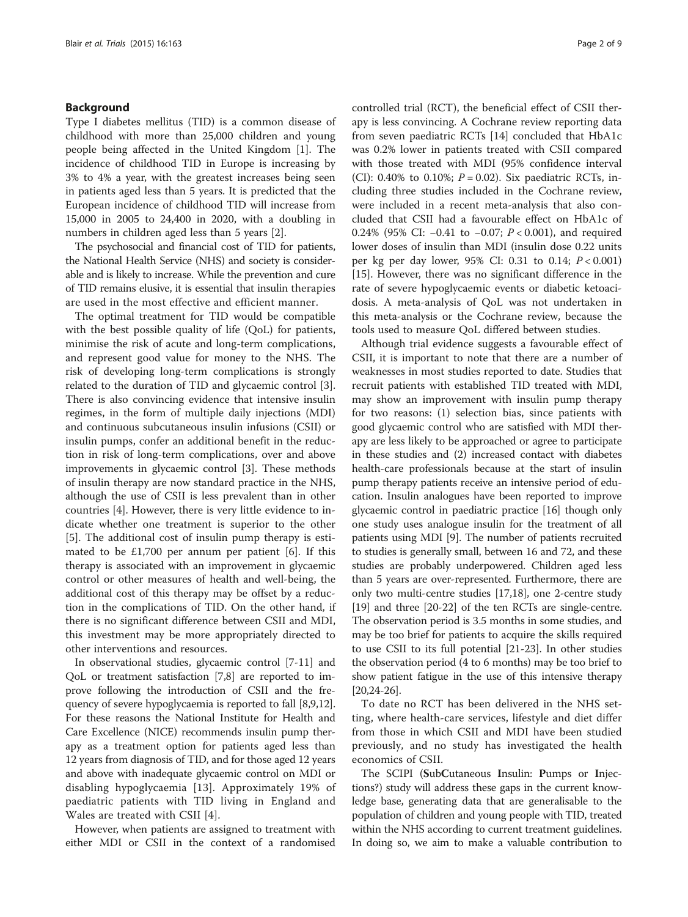#### Background

Type I diabetes mellitus (TID) is a common disease of childhood with more than 25,000 children and young people being affected in the United Kingdom [[1](#page-7-0)]. The incidence of childhood TID in Europe is increasing by 3% to 4% a year, with the greatest increases being seen in patients aged less than 5 years. It is predicted that the European incidence of childhood TID will increase from 15,000 in 2005 to 24,400 in 2020, with a doubling in numbers in children aged less than 5 years [[2\]](#page-7-0).

The psychosocial and financial cost of TID for patients, the National Health Service (NHS) and society is considerable and is likely to increase. While the prevention and cure of TID remains elusive, it is essential that insulin therapies are used in the most effective and efficient manner.

The optimal treatment for TID would be compatible with the best possible quality of life (QoL) for patients, minimise the risk of acute and long-term complications, and represent good value for money to the NHS. The risk of developing long-term complications is strongly related to the duration of TID and glycaemic control [\[3](#page-7-0)]. There is also convincing evidence that intensive insulin regimes, in the form of multiple daily injections (MDI) and continuous subcutaneous insulin infusions (CSII) or insulin pumps, confer an additional benefit in the reduction in risk of long-term complications, over and above improvements in glycaemic control [[3](#page-7-0)]. These methods of insulin therapy are now standard practice in the NHS, although the use of CSII is less prevalent than in other countries [[4\]](#page-7-0). However, there is very little evidence to indicate whether one treatment is superior to the other [[5\]](#page-7-0). The additional cost of insulin pump therapy is estimated to be  $£1,700$  per annum per patient [\[6](#page-7-0)]. If this therapy is associated with an improvement in glycaemic control or other measures of health and well-being, the additional cost of this therapy may be offset by a reduction in the complications of TID. On the other hand, if there is no significant difference between CSII and MDI, this investment may be more appropriately directed to other interventions and resources.

In observational studies, glycaemic control [\[7-11](#page-7-0)] and QoL or treatment satisfaction [[7](#page-7-0),[8](#page-7-0)] are reported to improve following the introduction of CSII and the frequency of severe hypoglycaemia is reported to fall [\[8,9,12](#page-7-0)]. For these reasons the National Institute for Health and Care Excellence (NICE) recommends insulin pump therapy as a treatment option for patients aged less than 12 years from diagnosis of TID, and for those aged 12 years and above with inadequate glycaemic control on MDI or disabling hypoglycaemia [[13\]](#page-7-0). Approximately 19% of paediatric patients with TID living in England and Wales are treated with CSII [\[4](#page-7-0)].

However, when patients are assigned to treatment with either MDI or CSII in the context of a randomised

controlled trial (RCT), the beneficial effect of CSII therapy is less convincing. A Cochrane review reporting data from seven paediatric RCTs [\[14](#page-7-0)] concluded that HbA1c was 0.2% lower in patients treated with CSII compared with those treated with MDI (95% confidence interval (CI): 0.40% to 0.10%;  $P = 0.02$ ). Six paediatric RCTs, including three studies included in the Cochrane review, were included in a recent meta-analysis that also concluded that CSII had a favourable effect on HbA1c of 0.24% (95% CI: −0.41 to −0.07; P < 0.001), and required lower doses of insulin than MDI (insulin dose 0.22 units per kg per day lower,  $95\%$  CI: 0.31 to 0.14;  $P < 0.001$ ) [[15\]](#page-7-0). However, there was no significant difference in the rate of severe hypoglycaemic events or diabetic ketoacidosis. A meta-analysis of QoL was not undertaken in this meta-analysis or the Cochrane review, because the tools used to measure QoL differed between studies.

Although trial evidence suggests a favourable effect of CSII, it is important to note that there are a number of weaknesses in most studies reported to date. Studies that recruit patients with established TID treated with MDI, may show an improvement with insulin pump therapy for two reasons: (1) selection bias, since patients with good glycaemic control who are satisfied with MDI therapy are less likely to be approached or agree to participate in these studies and (2) increased contact with diabetes health-care professionals because at the start of insulin pump therapy patients receive an intensive period of education. Insulin analogues have been reported to improve glycaemic control in paediatric practice [[16](#page-7-0)] though only one study uses analogue insulin for the treatment of all patients using MDI [[9](#page-7-0)]. The number of patients recruited to studies is generally small, between 16 and 72, and these studies are probably underpowered. Children aged less than 5 years are over-represented. Furthermore, there are only two multi-centre studies [[17,18](#page-7-0)], one 2-centre study [[19](#page-7-0)] and three [[20-22\]](#page-7-0) of the ten RCTs are single-centre. The observation period is 3.5 months in some studies, and may be too brief for patients to acquire the skills required to use CSII to its full potential [\[21-23\]](#page-7-0). In other studies the observation period (4 to 6 months) may be too brief to show patient fatigue in the use of this intensive therapy [[20](#page-7-0),[24](#page-7-0)-[26](#page-7-0)].

To date no RCT has been delivered in the NHS setting, where health-care services, lifestyle and diet differ from those in which CSII and MDI have been studied previously, and no study has investigated the health economics of CSII.

The SCIPI (SubCutaneous Insulin: Pumps or Injections?) study will address these gaps in the current knowledge base, generating data that are generalisable to the population of children and young people with TID, treated within the NHS according to current treatment guidelines. In doing so, we aim to make a valuable contribution to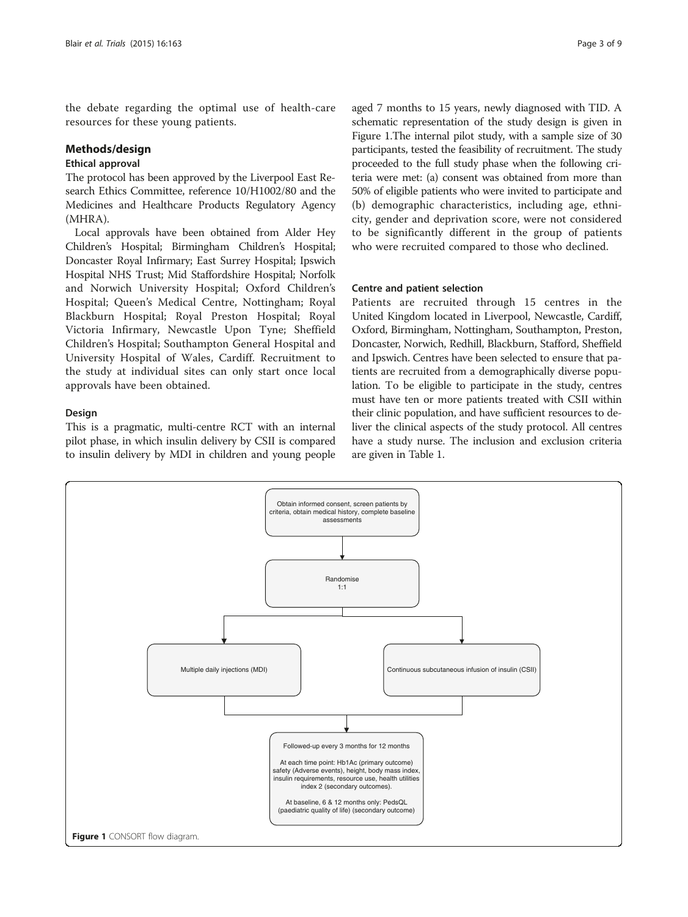the debate regarding the optimal use of health-care resources for these young patients.

## Methods/design

#### Ethical approval

The protocol has been approved by the Liverpool East Research Ethics Committee, reference 10/H1002/80 and the Medicines and Healthcare Products Regulatory Agency (MHRA).

Local approvals have been obtained from Alder Hey Children's Hospital; Birmingham Children's Hospital; Doncaster Royal Infirmary; East Surrey Hospital; Ipswich Hospital NHS Trust; Mid Staffordshire Hospital; Norfolk and Norwich University Hospital; Oxford Children's Hospital; Queen's Medical Centre, Nottingham; Royal Blackburn Hospital; Royal Preston Hospital; Royal Victoria Infirmary, Newcastle Upon Tyne; Sheffield Children's Hospital; Southampton General Hospital and University Hospital of Wales, Cardiff. Recruitment to the study at individual sites can only start once local approvals have been obtained.

## Design

This is a pragmatic, multi-centre RCT with an internal pilot phase, in which insulin delivery by CSII is compared to insulin delivery by MDI in children and young people

aged 7 months to 15 years, newly diagnosed with TID. A schematic representation of the study design is given in Figure 1.The internal pilot study, with a sample size of 30 participants, tested the feasibility of recruitment. The study proceeded to the full study phase when the following criteria were met: (a) consent was obtained from more than 50% of eligible patients who were invited to participate and (b) demographic characteristics, including age, ethnicity, gender and deprivation score, were not considered to be significantly different in the group of patients who were recruited compared to those who declined.

# Centre and patient selection

Patients are recruited through 15 centres in the United Kingdom located in Liverpool, Newcastle, Cardiff, Oxford, Birmingham, Nottingham, Southampton, Preston, Doncaster, Norwich, Redhill, Blackburn, Stafford, Sheffield and Ipswich. Centres have been selected to ensure that patients are recruited from a demographically diverse population. To be eligible to participate in the study, centres must have ten or more patients treated with CSII within their clinic population, and have sufficient resources to deliver the clinical aspects of the study protocol. All centres have a study nurse. The inclusion and exclusion criteria are given in Table [1.](#page-3-0)

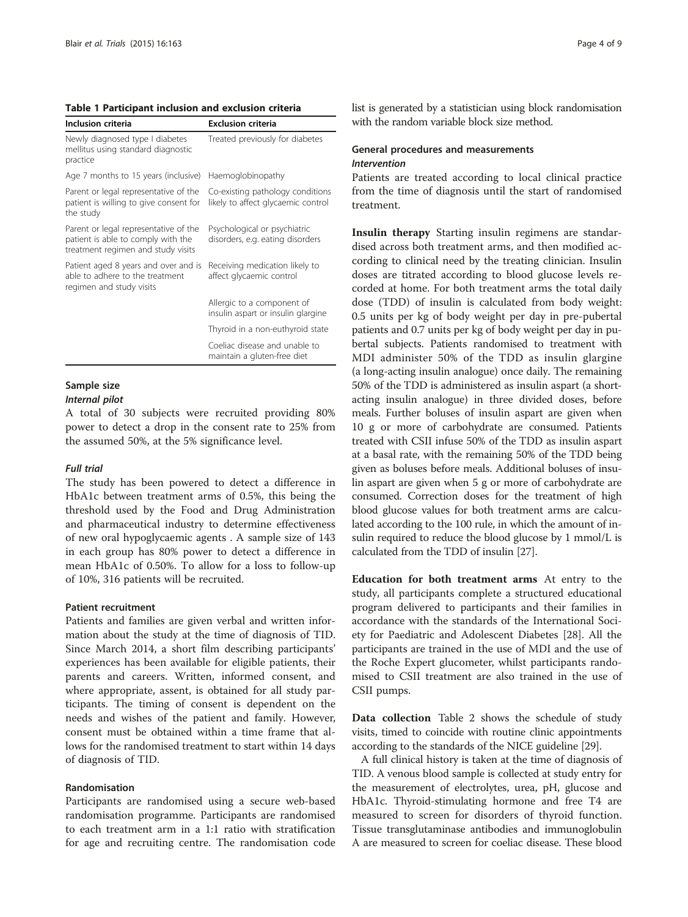<span id="page-3-0"></span>Table 1 Participant inclusion and exclusion criteria

| Inclusion criteria                                                                                                | <b>Exclusion criteria</b>                                              |
|-------------------------------------------------------------------------------------------------------------------|------------------------------------------------------------------------|
| Newly diagnosed type I diabetes<br>mellitus using standard diagnostic<br>practice                                 | Treated previously for diabetes                                        |
| Age 7 months to 15 years (inclusive)                                                                              | Haemoglobinopathy                                                      |
| Parent or legal representative of the<br>patient is willing to give consent for<br>the study                      | Co-existing pathology conditions<br>likely to affect glycaemic control |
| Parent or legal representative of the<br>patient is able to comply with the<br>treatment regimen and study visits | Psychological or psychiatric<br>disorders, e.g. eating disorders       |
| Patient aged 8 years and over and is<br>able to adhere to the treatment<br>regimen and study visits               | Receiving medication likely to<br>affect glycaemic control             |
|                                                                                                                   | Allergic to a component of<br>insulin aspart or insulin glargine       |
|                                                                                                                   | Thyroid in a non-euthyroid state                                       |
|                                                                                                                   | Coeliac disease and unable to<br>maintain a gluten-free diet           |

## Sample size Internal pilot

A total of 30 subjects were recruited providing 80% power to detect a drop in the consent rate to 25% from the assumed 50%, at the 5% significance level.

## Full trial

The study has been powered to detect a difference in HbA1c between treatment arms of 0.5%, this being the threshold used by the Food and Drug Administration and pharmaceutical industry to determine effectiveness of new oral hypoglycaemic agents . A sample size of 143 in each group has 80% power to detect a difference in mean HbA1c of 0.50%. To allow for a loss to follow-up of 10%, 316 patients will be recruited.

#### Patient recruitment

Patients and families are given verbal and written information about the study at the time of diagnosis of TID. Since March 2014, a short film describing participants' experiences has been available for eligible patients, their parents and careers. Written, informed consent, and where appropriate, assent, is obtained for all study participants. The timing of consent is dependent on the needs and wishes of the patient and family. However, consent must be obtained within a time frame that allows for the randomised treatment to start within 14 days of diagnosis of TID.

## Randomisation

Participants are randomised using a secure web-based randomisation programme. Participants are randomised to each treatment arm in a 1:1 ratio with stratification for age and recruiting centre. The randomisation code list is generated by a statistician using block randomisation with the random variable block size method.

# General procedures and measurements Intervention

Patients are treated according to local clinical practice from the time of diagnosis until the start of randomised treatment.

Insulin therapy Starting insulin regimens are standardised across both treatment arms, and then modified according to clinical need by the treating clinician. Insulin doses are titrated according to blood glucose levels recorded at home. For both treatment arms the total daily dose (TDD) of insulin is calculated from body weight: 0.5 units per kg of body weight per day in pre-pubertal patients and 0.7 units per kg of body weight per day in pubertal subjects. Patients randomised to treatment with MDI administer 50% of the TDD as insulin glargine (a long-acting insulin analogue) once daily. The remaining 50% of the TDD is administered as insulin aspart (a shortacting insulin analogue) in three divided doses, before meals. Further boluses of insulin aspart are given when 10 g or more of carbohydrate are consumed. Patients treated with CSII infuse 50% of the TDD as insulin aspart at a basal rate, with the remaining 50% of the TDD being given as boluses before meals. Additional boluses of insulin aspart are given when 5 g or more of carbohydrate are consumed. Correction doses for the treatment of high blood glucose values for both treatment arms are calculated according to the 100 rule, in which the amount of insulin required to reduce the blood glucose by 1 mmol/L is calculated from the TDD of insulin [[27](#page-7-0)].

Education for both treatment arms At entry to the study, all participants complete a structured educational program delivered to participants and their families in accordance with the standards of the International Society for Paediatric and Adolescent Diabetes [[28](#page-7-0)]. All the participants are trained in the use of MDI and the use of the Roche Expert glucometer, whilst participants randomised to CSII treatment are also trained in the use of CSII pumps.

Data collection Table [2](#page-4-0) shows the schedule of study visits, timed to coincide with routine clinic appointments according to the standards of the NICE guideline [\[29\]](#page-7-0).

A full clinical history is taken at the time of diagnosis of TID. A venous blood sample is collected at study entry for the measurement of electrolytes, urea, pH, glucose and HbA1c. Thyroid-stimulating hormone and free T4 are measured to screen for disorders of thyroid function. Tissue transglutaminase antibodies and immunoglobulin A are measured to screen for coeliac disease. These blood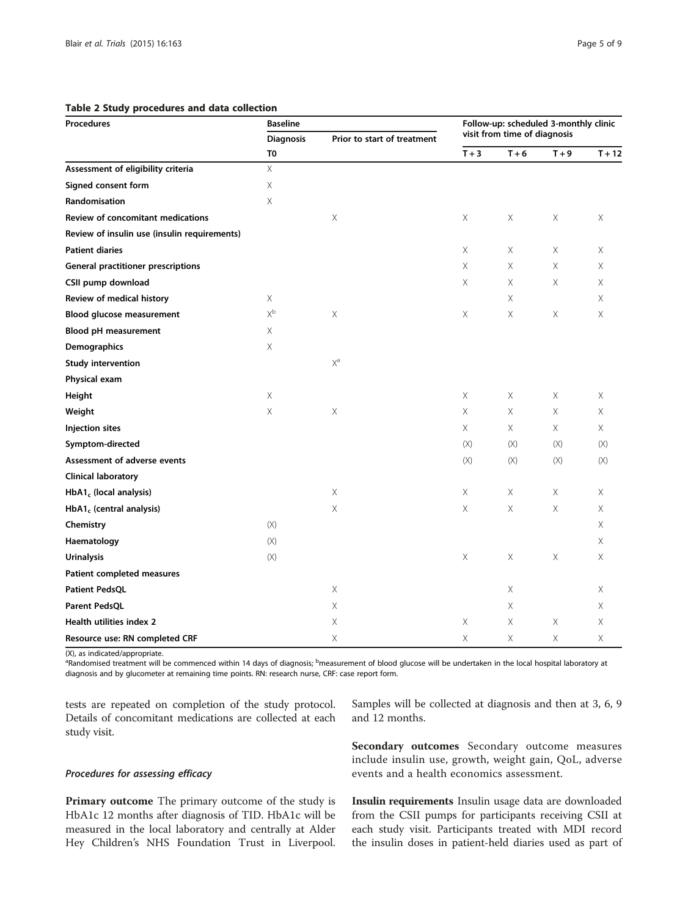# <span id="page-4-0"></span>Table 2 Study procedures and data collection

| <b>Procedures</b>                            | <b>Baseline</b>  |                             | Follow-up: scheduled 3-monthly clinic |                              |             |            |  |
|----------------------------------------------|------------------|-----------------------------|---------------------------------------|------------------------------|-------------|------------|--|
|                                              | <b>Diagnosis</b> | Prior to start of treatment |                                       | visit from time of diagnosis |             |            |  |
|                                              | T0               |                             | $T + 3$                               | $T+6$                        | $T + 9$     | $T + 12$   |  |
| Assessment of eligibility criteria           | $\times$         |                             |                                       |                              |             |            |  |
| Signed consent form                          | X                |                             |                                       |                              |             |            |  |
| Randomisation                                | X                |                             |                                       |                              |             |            |  |
| Review of concomitant medications            |                  | Χ                           | X                                     | X                            | X           | $\times$   |  |
| Review of insulin use (insulin requirements) |                  |                             |                                       |                              |             |            |  |
| <b>Patient diaries</b>                       |                  |                             | $\times$                              | $\times$                     | $\times$    | $\times$   |  |
| <b>General practitioner prescriptions</b>    |                  |                             | X                                     | X                            | X           | X          |  |
| CSII pump download                           |                  |                             | Χ                                     | X                            | Χ           | Χ          |  |
| Review of medical history                    | Χ                |                             |                                       | Χ                            |             | Χ          |  |
| Blood glucose measurement                    | $X^b$            | Χ                           | Χ                                     | Χ                            | Χ           | X          |  |
| Blood pH measurement                         | Χ                |                             |                                       |                              |             |            |  |
| Demographics                                 | X                |                             |                                       |                              |             |            |  |
| <b>Study intervention</b>                    |                  | $X^a$                       |                                       |                              |             |            |  |
| Physical exam                                |                  |                             |                                       |                              |             |            |  |
| Height                                       | Χ                |                             | X                                     | X                            | X           | Χ          |  |
| Weight                                       | Χ                | $\mathsf X$                 | $\times$                              | $\times$                     | $\times$    | X          |  |
| Injection sites                              |                  |                             | $\times$                              | $\times$                     | $\times$    | X          |  |
| Symptom-directed                             |                  |                             | $(\times)$                            | (X)                          | (X)         | $(\times)$ |  |
| Assessment of adverse events                 |                  |                             | (X)                                   | (X)                          | (X)         | (X)        |  |
| <b>Clinical laboratory</b>                   |                  |                             |                                       |                              |             |            |  |
| HbA1 <sub>c</sub> (local analysis)           |                  | Χ                           | Χ                                     | Χ                            | X           | X          |  |
| HbA1 <sub>c</sub> (central analysis)         |                  | Χ                           | $\mathsf X$                           | Χ                            | Χ           | X          |  |
| Chemistry                                    | (X)              |                             |                                       |                              |             | X          |  |
| Haematology                                  | $(\times)$       |                             |                                       |                              |             | X          |  |
| <b>Urinalysis</b>                            | $(\times)$       |                             | $\mathsf X$                           | $\mathsf X$                  | $\mathsf X$ | Χ          |  |
| Patient completed measures                   |                  |                             |                                       |                              |             |            |  |
| <b>Patient PedsQL</b>                        |                  | Χ                           |                                       | Χ                            |             | Χ          |  |
| <b>Parent PedsQL</b>                         |                  | Χ                           |                                       | X                            |             | X          |  |
| Health utilities index 2                     |                  | Χ                           | X                                     | X                            | X           | $\times$   |  |
| Resource use: RN completed CRF               |                  | Χ                           | X                                     | X                            | X           | Χ          |  |

(X), as indicated/appropriate.

<sup>a</sup>Randomised treatment will be commenced within 14 days of diagnosis; <sup>b</sup>measurement of blood glucose will be undertaken in the local hospital laboratory at diagnosis and by glucometer at remaining time points. RN: research nurse, CRF: case report form.

tests are repeated on completion of the study protocol. Details of concomitant medications are collected at each study visit.

Samples will be collected at diagnosis and then at 3, 6, 9 and 12 months.

Secondary outcomes Secondary outcome measures include insulin use, growth, weight gain, QoL, adverse events and a health economics assessment.

# Procedures for assessing efficacy

Primary outcome The primary outcome of the study is HbA1c 12 months after diagnosis of TID. HbA1c will be measured in the local laboratory and centrally at Alder Hey Children's NHS Foundation Trust in Liverpool. Insulin requirements Insulin usage data are downloaded from the CSII pumps for participants receiving CSII at each study visit. Participants treated with MDI record the insulin doses in patient-held diaries used as part of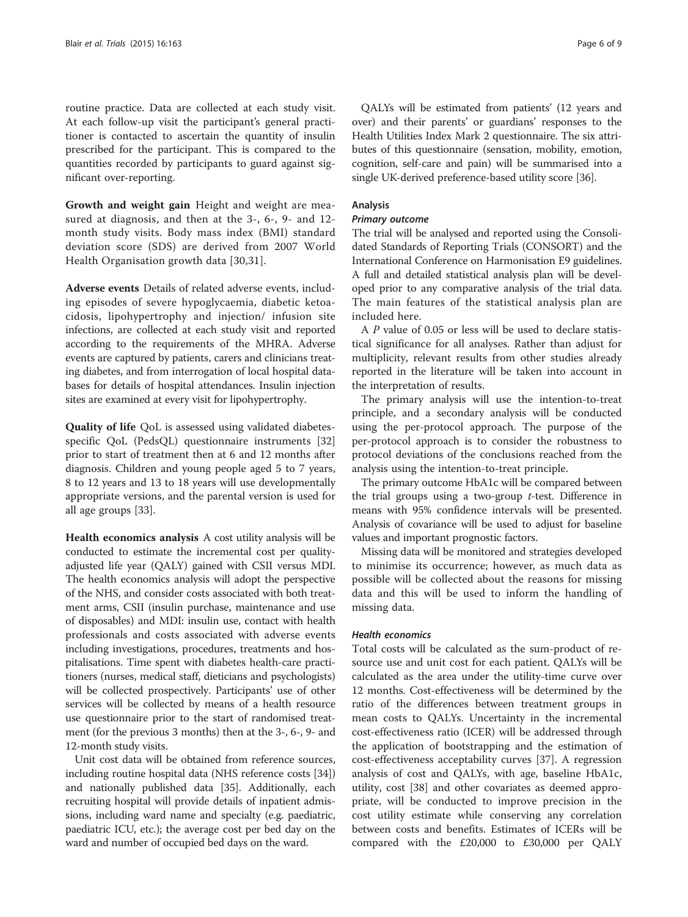routine practice. Data are collected at each study visit. At each follow-up visit the participant's general practitioner is contacted to ascertain the quantity of insulin prescribed for the participant. This is compared to the quantities recorded by participants to guard against significant over-reporting.

Growth and weight gain Height and weight are measured at diagnosis, and then at the 3-, 6-, 9- and 12 month study visits. Body mass index (BMI) standard deviation score (SDS) are derived from 2007 World Health Organisation growth data [\[30](#page-7-0),[31](#page-7-0)].

Adverse events Details of related adverse events, including episodes of severe hypoglycaemia, diabetic ketoacidosis, lipohypertrophy and injection/ infusion site infections, are collected at each study visit and reported according to the requirements of the MHRA. Adverse events are captured by patients, carers and clinicians treating diabetes, and from interrogation of local hospital databases for details of hospital attendances. Insulin injection sites are examined at every visit for lipohypertrophy.

Quality of life QoL is assessed using validated diabetesspecific QoL (PedsQL) questionnaire instruments [[32](#page-7-0)] prior to start of treatment then at 6 and 12 months after diagnosis. Children and young people aged 5 to 7 years, 8 to 12 years and 13 to 18 years will use developmentally appropriate versions, and the parental version is used for all age groups [[33](#page-8-0)].

Health economics analysis A cost utility analysis will be conducted to estimate the incremental cost per qualityadjusted life year (QALY) gained with CSII versus MDI. The health economics analysis will adopt the perspective of the NHS, and consider costs associated with both treatment arms, CSII (insulin purchase, maintenance and use of disposables) and MDI: insulin use, contact with health professionals and costs associated with adverse events including investigations, procedures, treatments and hospitalisations. Time spent with diabetes health-care practitioners (nurses, medical staff, dieticians and psychologists) will be collected prospectively. Participants' use of other services will be collected by means of a health resource use questionnaire prior to the start of randomised treatment (for the previous 3 months) then at the 3-, 6-, 9- and 12-month study visits.

Unit cost data will be obtained from reference sources, including routine hospital data (NHS reference costs [[34](#page-8-0)]) and nationally published data [\[35\]](#page-8-0). Additionally, each recruiting hospital will provide details of inpatient admissions, including ward name and specialty (e.g. paediatric, paediatric ICU, etc.); the average cost per bed day on the ward and number of occupied bed days on the ward.

QALYs will be estimated from patients' (12 years and over) and their parents' or guardians' responses to the Health Utilities Index Mark 2 questionnaire. The six attributes of this questionnaire (sensation, mobility, emotion, cognition, self-care and pain) will be summarised into a single UK-derived preference-based utility score [[36](#page-8-0)].

## Analysis

#### Primary outcome

The trial will be analysed and reported using the Consolidated Standards of Reporting Trials (CONSORT) and the International Conference on Harmonisation E9 guidelines. A full and detailed statistical analysis plan will be developed prior to any comparative analysis of the trial data. The main features of the statistical analysis plan are included here.

A P value of 0.05 or less will be used to declare statistical significance for all analyses. Rather than adjust for multiplicity, relevant results from other studies already reported in the literature will be taken into account in the interpretation of results.

The primary analysis will use the intention-to-treat principle, and a secondary analysis will be conducted using the per-protocol approach. The purpose of the per-protocol approach is to consider the robustness to protocol deviations of the conclusions reached from the analysis using the intention-to-treat principle.

The primary outcome HbA1c will be compared between the trial groups using a two-group  $t$ -test. Difference in means with 95% confidence intervals will be presented. Analysis of covariance will be used to adjust for baseline values and important prognostic factors.

Missing data will be monitored and strategies developed to minimise its occurrence; however, as much data as possible will be collected about the reasons for missing data and this will be used to inform the handling of missing data.

# Health economics

Total costs will be calculated as the sum-product of resource use and unit cost for each patient. QALYs will be calculated as the area under the utility-time curve over 12 months. Cost-effectiveness will be determined by the ratio of the differences between treatment groups in mean costs to QALYs. Uncertainty in the incremental cost-effectiveness ratio (ICER) will be addressed through the application of bootstrapping and the estimation of cost-effectiveness acceptability curves [\[37](#page-8-0)]. A regression analysis of cost and QALYs, with age, baseline HbA1c, utility, cost [[38\]](#page-8-0) and other covariates as deemed appropriate, will be conducted to improve precision in the cost utility estimate while conserving any correlation between costs and benefits. Estimates of ICERs will be compared with the £20,000 to £30,000 per QALY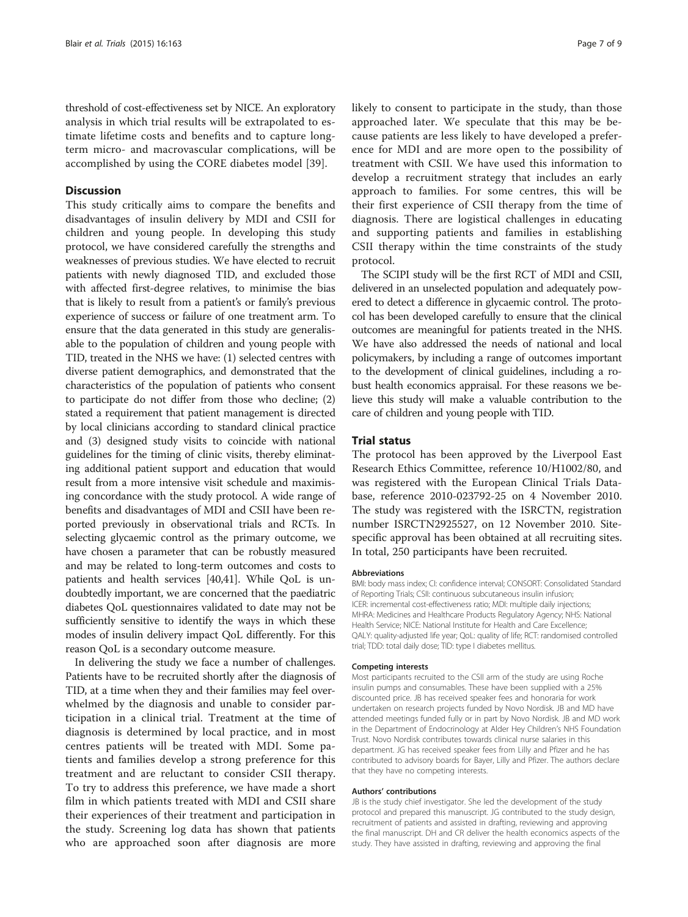threshold of cost-effectiveness set by NICE. An exploratory analysis in which trial results will be extrapolated to estimate lifetime costs and benefits and to capture longterm micro- and macrovascular complications, will be accomplished by using the CORE diabetes model [[39](#page-8-0)].

#### **Discussion**

This study critically aims to compare the benefits and disadvantages of insulin delivery by MDI and CSII for children and young people. In developing this study protocol, we have considered carefully the strengths and weaknesses of previous studies. We have elected to recruit patients with newly diagnosed TID, and excluded those with affected first-degree relatives, to minimise the bias that is likely to result from a patient's or family's previous experience of success or failure of one treatment arm. To ensure that the data generated in this study are generalisable to the population of children and young people with TID, treated in the NHS we have: (1) selected centres with diverse patient demographics, and demonstrated that the characteristics of the population of patients who consent to participate do not differ from those who decline; (2) stated a requirement that patient management is directed by local clinicians according to standard clinical practice and (3) designed study visits to coincide with national guidelines for the timing of clinic visits, thereby eliminating additional patient support and education that would result from a more intensive visit schedule and maximising concordance with the study protocol. A wide range of benefits and disadvantages of MDI and CSII have been reported previously in observational trials and RCTs. In selecting glycaemic control as the primary outcome, we have chosen a parameter that can be robustly measured and may be related to long-term outcomes and costs to patients and health services [[40,41\]](#page-8-0). While QoL is undoubtedly important, we are concerned that the paediatric diabetes QoL questionnaires validated to date may not be sufficiently sensitive to identify the ways in which these modes of insulin delivery impact QoL differently. For this reason QoL is a secondary outcome measure.

In delivering the study we face a number of challenges. Patients have to be recruited shortly after the diagnosis of TID, at a time when they and their families may feel overwhelmed by the diagnosis and unable to consider participation in a clinical trial. Treatment at the time of diagnosis is determined by local practice, and in most centres patients will be treated with MDI. Some patients and families develop a strong preference for this treatment and are reluctant to consider CSII therapy. To try to address this preference, we have made a short film in which patients treated with MDI and CSII share their experiences of their treatment and participation in the study. Screening log data has shown that patients who are approached soon after diagnosis are more

likely to consent to participate in the study, than those approached later. We speculate that this may be because patients are less likely to have developed a preference for MDI and are more open to the possibility of treatment with CSII. We have used this information to develop a recruitment strategy that includes an early approach to families. For some centres, this will be their first experience of CSII therapy from the time of diagnosis. There are logistical challenges in educating and supporting patients and families in establishing CSII therapy within the time constraints of the study protocol.

The SCIPI study will be the first RCT of MDI and CSII, delivered in an unselected population and adequately powered to detect a difference in glycaemic control. The protocol has been developed carefully to ensure that the clinical outcomes are meaningful for patients treated in the NHS. We have also addressed the needs of national and local policymakers, by including a range of outcomes important to the development of clinical guidelines, including a robust health economics appraisal. For these reasons we believe this study will make a valuable contribution to the care of children and young people with TID.

#### Trial status

The protocol has been approved by the Liverpool East Research Ethics Committee, reference 10/H1002/80, and was registered with the European Clinical Trials Database, reference 2010-023792-25 on 4 November 2010. The study was registered with the ISRCTN, registration number ISRCTN2925527, on 12 November 2010. Sitespecific approval has been obtained at all recruiting sites. In total, 250 participants have been recruited.

#### Abbreviations

BMI: body mass index; CI: confidence interval; CONSORT: Consolidated Standard of Reporting Trials; CSII: continuous subcutaneous insulin infusion; ICER: incremental cost-effectiveness ratio; MDI: multiple daily injections; MHRA: Medicines and Healthcare Products Regulatory Agency; NHS: National Health Service; NICE: National Institute for Health and Care Excellence; QALY: quality-adjusted life year; QoL: quality of life; RCT: randomised controlled trial; TDD: total daily dose; TID: type I diabetes mellitus.

#### Competing interests

Most participants recruited to the CSII arm of the study are using Roche insulin pumps and consumables. These have been supplied with a 25% discounted price. JB has received speaker fees and honoraria for work undertaken on research projects funded by Novo Nordisk. JB and MD have attended meetings funded fully or in part by Novo Nordisk. JB and MD work in the Department of Endocrinology at Alder Hey Children's NHS Foundation Trust. Novo Nordisk contributes towards clinical nurse salaries in this department. JG has received speaker fees from Lilly and Pfizer and he has contributed to advisory boards for Bayer, Lilly and Pfizer. The authors declare that they have no competing interests.

#### Authors' contributions

JB is the study chief investigator. She led the development of the study protocol and prepared this manuscript. JG contributed to the study design, recruitment of patients and assisted in drafting, reviewing and approving the final manuscript. DH and CR deliver the health economics aspects of the study. They have assisted in drafting, reviewing and approving the final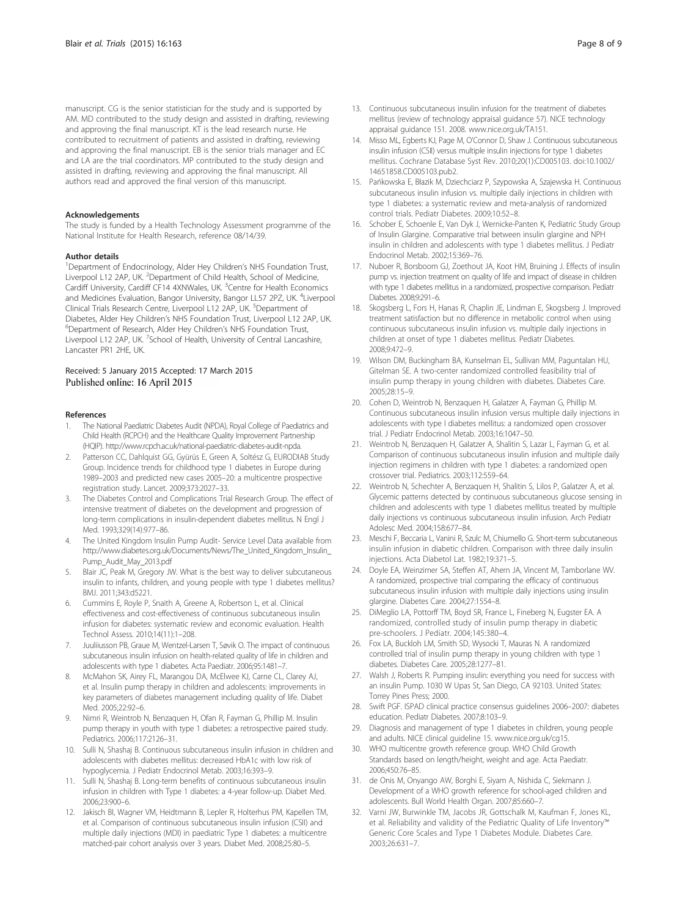<span id="page-7-0"></span>manuscript. CG is the senior statistician for the study and is supported by AM. MD contributed to the study design and assisted in drafting, reviewing and approving the final manuscript. KT is the lead research nurse. He contributed to recruitment of patients and assisted in drafting, reviewing and approving the final manuscript. EB is the senior trials manager and EC and LA are the trial coordinators. MP contributed to the study design and assisted in drafting, reviewing and approving the final manuscript. All authors read and approved the final version of this manuscript.

#### Acknowledgements

The study is funded by a Health Technology Assessment programme of the National Institute for Health Research, reference 08/14/39.

#### Author details

<sup>1</sup>Department of Endocrinology, Alder Hey Children's NHS Foundation Trust, Liverpool L12 2AP, UK. <sup>2</sup>Department of Child Health, School of Medicine, Cardiff University, Cardiff CF14 4XNWales, UK.<sup>3</sup> Centre for Health Economics and Medicines Evaluation, Bangor University, Bangor LL57 2PZ, UK. <sup>4</sup>Liverpool Clinical Trials Research Centre, Liverpool L12 2AP, UK. <sup>5</sup>Department of Diabetes, Alder Hey Children's NHS Foundation Trust, Liverpool L12 2AP, UK. <sup>6</sup> Department of Research, Alder Hey Children's NHS Foundation Trust, Liverpool L12 2AP, UK. <sup>7</sup>School of Health, University of Central Lancashire, Lancaster PR1 2HE, UK.

# Received: 5 January 2015 Accepted: 17 March 2015<br>Published online: 16 April 2015

#### References

- 1. The National Paediatric Diabetes Audit (NPDA), Royal College of Paediatrics and Child Health (RCPCH) and the Healthcare Quality Improvement Partnership (HQIP).<http://www.rcpch.ac.uk/national-paediatric-diabetes-audit-npda>.
- 2. Patterson CC, Dahlquist GG, Gyürüs E, Green A, Soltész G, EURODIAB Study Group. Incidence trends for childhood type 1 diabetes in Europe during 1989–2003 and predicted new cases 2005–20: a multicentre prospective registration study. Lancet. 2009;373:2027–33.
- The Diabetes Control and Complications Trial Research Group. The effect of intensive treatment of diabetes on the development and progression of long-term complications in insulin-dependent diabetes mellitus. N Engl J Med. 1993;329(14):977–86.
- 4. The United Kingdom Insulin Pump Audit- Service Level Data available from [http://www.diabetes.org.uk/Documents/News/The\\_United\\_Kingdom\\_Insulin\\_](http://www.diabetes.org.uk/Documents/News/The_United_Kingdom_Insulin_Pump_Audit_May_2013.pdf) [Pump\\_Audit\\_May\\_2013.pdf](http://www.diabetes.org.uk/Documents/News/The_United_Kingdom_Insulin_Pump_Audit_May_2013.pdf)
- 5. Blair JC, Peak M, Gregory JW. What is the best way to deliver subcutaneous insulin to infants, children, and young people with type 1 diabetes mellitus? BMJ. 2011;343:d5221.
- 6. Cummins E, Royle P, Snaith A, Greene A, Robertson L, et al. Clinical effectiveness and cost-effectiveness of continuous subcutaneous insulin infusion for diabetes: systematic review and economic evaluation. Health Technol Assess. 2010;14(11):1–208.
- Juuliiusson PB, Graue M, Wentzel-Larsen T, Søvik O. The impact of continuous subcutaneous insulin infusion on health-related quality of life in children and adolescents with type 1 diabetes. Acta Paediatr. 2006;95:1481–7.
- 8. McMahon SK, Airey FL, Marangou DA, McElwee KJ, Carne CL, Clarey AJ, et al. Insulin pump therapy in children and adolescents: improvements in key parameters of diabetes management including quality of life. Diabet Med. 2005;22:92–6.
- 9. Nimri R, Weintrob N, Benzaquen H, Ofan R, Fayman G, Phillip M. Insulin pump therapy in youth with type 1 diabetes: a retrospective paired study. Pediatrics. 2006;117:2126–31.
- 10. Sulli N, Shashaj B. Continuous subcutaneous insulin infusion in children and adolescents with diabetes mellitus: decreased HbA1c with low risk of hypoglycemia. J Pediatr Endocrinol Metab. 2003;16:393–9.
- 11. Sulli N, Shashaj B. Long-term benefits of continuous subcutaneous insulin infusion in children with Type 1 diabetes: a 4-year follow-up. Diabet Med. 2006;23:900–6.
- 12. Jakisch BI, Wagner VM, Heidtmann B, Lepler R, Holterhus PM, Kapellen TM, et al. Comparison of continuous subcutaneous insulin infusion (CSII) and multiple daily injections (MDI) in paediatric Type 1 diabetes: a multicentre matched-pair cohort analysis over 3 years. Diabet Med. 2008;25:80–5.
- 13. Continuous subcutaneous insulin infusion for the treatment of diabetes mellitus (review of technology appraisal guidance 57). NICE technology appraisal guidance 151. 2008. [www.nice.org.uk/TA151](http://www.nice.org.uk/TA151).
- 14. Misso ML, Egberts KJ, Page M, O'Connor D, Shaw J. Continuous subcutaneous insulin infusion (CSII) versus multiple insulin injections for type 1 diabetes mellitus. Cochrane Database Syst Rev. 2010;20(1):CD005103. doi:10.1002/ 14651858.CD005103.pub2.
- 15. Pańkowska E, Błazik M, Dziechciarz P, Szypowska A, Szajewska H. Continuous subcutaneous insulin infusion vs. multiple daily injections in children with type 1 diabetes: a systematic review and meta-analysis of randomized control trials. Pediatr Diabetes. 2009;10:52–8.
- 16. Schober E, Schoenle E, Van Dyk J, Wernicke-Panten K, Pediatric Study Group of Insulin Glargine. Comparative trial between insulin glargine and NPH insulin in children and adolescents with type 1 diabetes mellitus. J Pediatr Endocrinol Metab. 2002;15:369–76.
- 17. Nuboer R, Borsboom GJ, Zoethout JA, Koot HM, Bruining J. Effects of insulin pump vs. injection treatment on quality of life and impact of disease in children with type 1 diabetes mellitus in a randomized, prospective comparison. Pediatr Diabetes. 2008;9:291–6.
- 18. Skogsberg L, Fors H, Hanas R, Chaplin JE, Lindman E, Skogsberg J. Improved treatment satisfaction but no difference in metabolic control when using continuous subcutaneous insulin infusion vs. multiple daily injections in children at onset of type 1 diabetes mellitus. Pediatr Diabetes. 2008;9:472–9.
- 19. Wilson DM, Buckingham BA, Kunselman EL, Sullivan MM, Paguntalan HU, Gitelman SE. A two-center randomized controlled feasibility trial of insulin pump therapy in young children with diabetes. Diabetes Care. 2005;28:15–9.
- 20. Cohen D, Weintrob N, Benzaquen H, Galatzer A, Fayman G, Phillip M. Continuous subcutaneous insulin infusion versus multiple daily injections in adolescents with type I diabetes mellitus: a randomized open crossover trial. J Pediatr Endocrinol Metab. 2003;16:1047–50.
- 21. Weintrob N, Benzaquen H, Galatzer A, Shalitin S, Lazar L, Fayman G, et al. Comparison of continuous subcutaneous insulin infusion and multiple daily injection regimens in children with type 1 diabetes: a randomized open crossover trial. Pediatrics. 2003;112:559–64.
- 22. Weintrob N, Schechter A, Benzaquen H, Shalitin S, Lilos P, Galatzer A, et al. Glycemic patterns detected by continuous subcutaneous glucose sensing in children and adolescents with type 1 diabetes mellitus treated by multiple daily injections vs continuous subcutaneous insulin infusion. Arch Pediatr Adolesc Med. 2004;158:677–84.
- 23. Meschi F, Beccaria L, Vanini R, Szulc M, Chiumello G. Short-term subcutaneous insulin infusion in diabetic children. Comparison with three daily insulin injections. Acta Diabetol Lat. 1982;19:371–5.
- 24. Doyle EA, Weinzimer SA, Steffen AT, Ahern JA, Vincent M, Tamborlane WV. A randomized, prospective trial comparing the efficacy of continuous subcutaneous insulin infusion with multiple daily injections using insulin glargine. Diabetes Care. 2004;27:1554–8.
- 25. DiMeglio LA, Pottorff TM, Boyd SR, France L, Fineberg N, Eugster EA. A randomized, controlled study of insulin pump therapy in diabetic pre-schoolers. J Pediatr. 2004;145:380–4.
- 26. Fox LA, Buckloh LM, Smith SD, Wysocki T, Mauras N. A randomized controlled trial of insulin pump therapy in young children with type 1 diabetes. Diabetes Care. 2005;28:1277–81.
- 27. Walsh J, Roberts R. Pumping insulin: everything you need for success with an insulin Pump. 1030 W Upas St, San Diego, CA 92103. United States: Torrey Pines Press; 2000.
- 28. Swift PGF. ISPAD clinical practice consensus guidelines 2006–2007: diabetes education. Pediatr Diabetes. 2007;8:103–9.
- 29. Diagnosis and management of type 1 diabetes in children, young people and adults. NICE clinical guideline 15. [www.nice.org.uk/cg15.](http://www.nice.org.uk/cg15)
- 30. WHO multicentre growth reference group. WHO Child Growth Standards based on length/height, weight and age. Acta Paediatr. 2006;450:76–85.
- 31. de Onis M, Onyango AW, Borghi E, Siyam A, Nishida C, Siekmann J. Development of a WHO growth reference for school-aged children and adolescents. Bull World Health Organ. 2007;85:660–7.
- 32. Varni JW, Burwinkle TM, Jacobs JR, Gottschalk M, Kaufman F, Jones KL, et al. Reliability and validity of the Pediatric Quality of Life Inventory™ Generic Core Scales and Type 1 Diabetes Module. Diabetes Care. 2003;26:631–7.